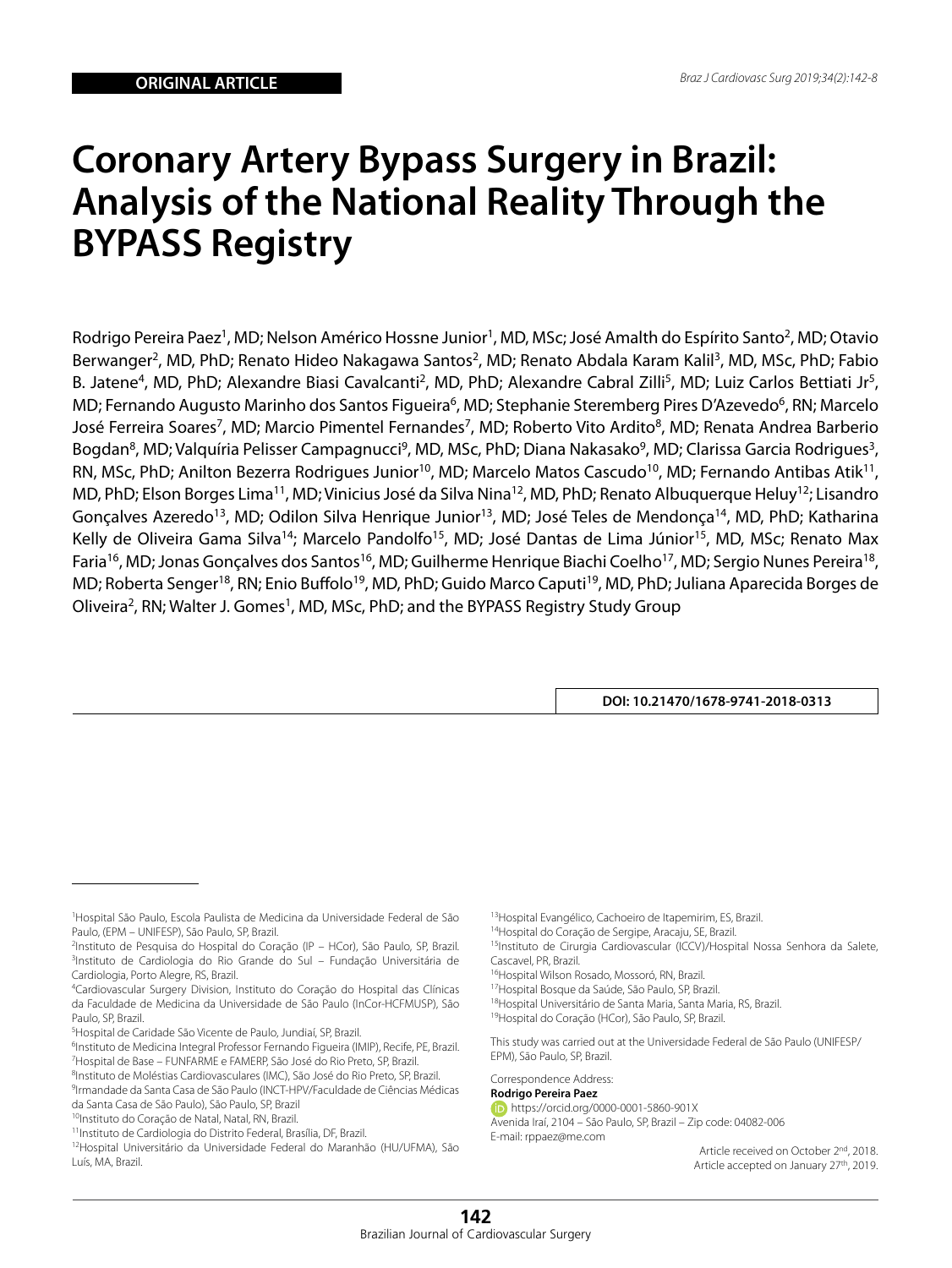# **Coronary Artery Bypass Surgery in Brazil: Analysis of the National Reality Through the BYPASS Registry**

Rodrigo Pereira Paez<sup>1</sup>, MD; Nelson Américo Hossne Junior<sup>1</sup>, MD, MSc; José Amalth do Espírito Santo<sup>2</sup>, MD; Otavio Berwanger<sup>2</sup>, MD, PhD; Renato Hideo Nakagawa Santos<sup>2</sup>, MD; Renato Abdala Karam Kalil<sup>3</sup>, MD, MSc, PhD; Fabio B. Jatene<sup>4</sup>, MD, PhD; Alexandre Biasi Cavalcanti<sup>2</sup>, MD, PhD; Alexandre Cabral Zilli<sup>5</sup>, MD; Luiz Carlos Bettiati Jr<sup>5</sup>, MD; Fernando Augusto Marinho dos Santos Figueira<sup>6</sup>, MD; Stephanie Steremberg Pires D'Azevedo<sup>6</sup>, RN; Marcelo José Ferreira Soares<sup>7</sup>, MD; Marcio Pimentel Fernandes<sup>7</sup>, MD; Roberto Vito Ardito<sup>8</sup>, MD; Renata Andrea Barberio Bogdan<sup>8</sup>, MD; Valquíria Pelisser Campagnucci<sup>9</sup>, MD, MSc, PhD; Diana Nakasako<sup>9</sup>, MD; Clarissa Garcia Rodrigues<sup>3</sup>, RN, MSc, PhD; Anilton Bezerra Rodrigues Junior<sup>10</sup>, MD; Marcelo Matos Cascudo<sup>10</sup>, MD; Fernando Antibas Atik<sup>11</sup>, MD, PhD; Elson Borges Lima<sup>11</sup>, MD; Vinicius José da Silva Nina<sup>12</sup>, MD, PhD; Renato Albuquerque Heluy<sup>12</sup>; Lisandro Gonçalves Azeredo<sup>13</sup>, MD; Odilon Silva Henrique Junior<sup>13</sup>, MD; José Teles de Mendonça<sup>14</sup>, MD, PhD; Katharina Kelly de Oliveira Gama Silva<sup>14</sup>; Marcelo Pandolfo<sup>15</sup>, MD; José Dantas de Lima Júnior<sup>15</sup>, MD, MSc; Renato Max Faria<sup>16</sup>, MD; Jonas Gonçalves dos Santos<sup>16</sup>, MD; Guilherme Henrique Biachi Coelho<sup>17</sup>, MD; Sergio Nunes Pereira<sup>18</sup>, MD; Roberta Senger<sup>18</sup>, RN; Enio Buffolo<sup>19</sup>, MD, PhD; Guido Marco Caputi<sup>19</sup>, MD, PhD; Juliana Aparecida Borges de Oliveira<sup>2</sup>, RN; Walter J. Gomes<sup>1</sup>, MD, MSc, PhD; and the BYPASS Registry Study Group

**DOI: 10.21470/1678-9741-2018-0313**

13Hospital Evangélico, Cachoeiro de Itapemirim, ES, Brazil.

14Hospital do Coração de Sergipe, Aracaju, SE, Brazil.

<sup>16</sup>Hospital Wilson Rosado, Mossoró, RN, Brazil.

17Hospital Bosque da Saúde, São Paulo, SP, Brazil.

18Hospital Universitário de Santa Maria, Santa Maria, RS, Brazil.

19Hospital do Coração (HCor), São Paulo, SP, Brazil.

This study was carried out at the Universidade Federal de São Paulo (UNIFESP/ EPM), São Paulo, SP, Brazil.

## Correspondence Address:

**Rodrigo Pereira Paez** https://orcid.org/0000-0001-5860-901X Avenida Iraí, 2104 – São Paulo, SP, Brazil – Zip code: 04082-006 E-mail: rppaez@me.com

> Article received on October 2<sup>nd</sup>, 2018. Article accepted on January 27<sup>th</sup>, 2019.

<sup>1</sup> Hospital São Paulo, Escola Paulista de Medicina da Universidade Federal de São Paulo, (EPM – UNIFESP), São Paulo, SP, Brazil.

<sup>2</sup> Instituto de Pesquisa do Hospital do Coração (IP – HCor), São Paulo, SP, Brazil. 3 Instituto de Cardiologia do Rio Grande do Sul – Fundação Universitária de Cardiologia, Porto Alegre, RS, Brazil.

<sup>4</sup> Cardiovascular Surgery Division, Instituto do Coração do Hospital das Clínicas da Faculdade de Medicina da Universidade de São Paulo (InCor-HCFMUSP), São Paulo, SP, Brazil.

<sup>5</sup> Hospital de Caridade São Vicente de Paulo, Jundiaí, SP, Brazil.

<sup>&</sup>lt;sup>6</sup>Instituto de Medicina Integral Professor Fernando Figueira (IMIP), Recife, PE, Brazil. <sup>7</sup>Hospital de Base - FUNFARME e FAMERP, São José do Rio Preto, SP, Brazil.

<sup>8</sup>Instituto de Moléstias Cardiovasculares (IMC), São José do Rio Preto, SP, Brazil.

<sup>9</sup> Irmandade da Santa Casa de São Paulo (INCT-HPV/Faculdade de Ciências Médicas da Santa Casa de São Paulo), São Paulo, SP, Brazil

<sup>10</sup>Instituto do Coração de Natal, Natal, RN, Brazil.

<sup>11</sup>Instituto de Cardiologia do Distrito Federal, Brasília, DF, Brazil.

<sup>12</sup>Hospital Universitário da Universidade Federal do Maranhão (HU/UFMA), São Luís, MA, Brazil.

<sup>15</sup>Instituto de Cirurgia Cardiovascular (ICCV)/Hospital Nossa Senhora da Salete, Cascavel, PR, Brazil.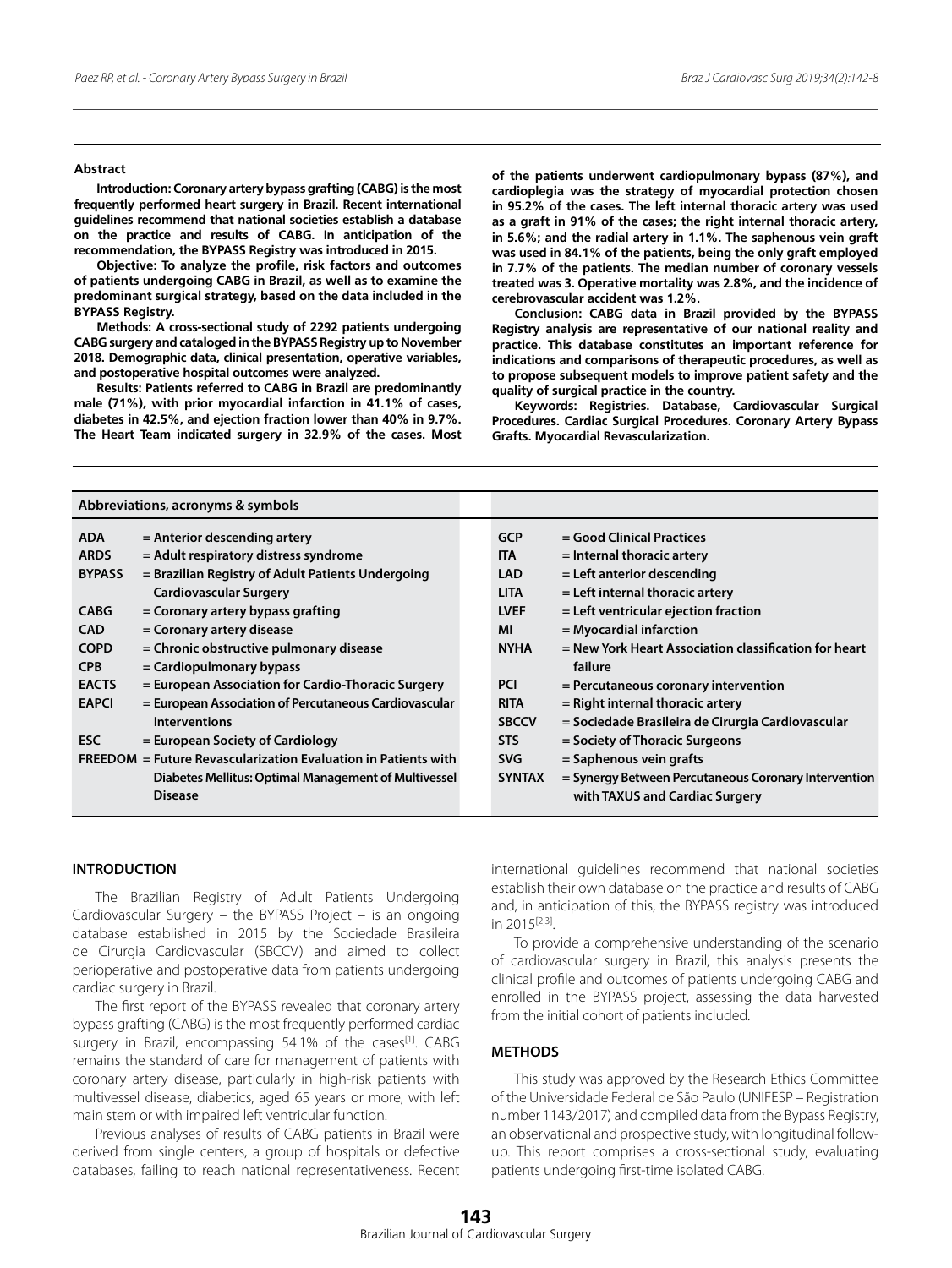#### **Abstract**

**Introduction: Coronary artery bypass grafting (CABG) is the most frequently performed heart surgery in Brazil. Recent international guidelines recommend that national societies establish a database on the practice and results of CABG. In anticipation of the recommendation, the BYPASS Registry was introduced in 2015.**

**Objective: To analyze the profile, risk factors and outcomes of patients undergoing CABG in Brazil, as well as to examine the predominant surgical strategy, based on the data included in the BYPASS Registry.** 

**Methods: A cross-sectional study of 2292 patients undergoing CABG surgery and cataloged in the BYPASS Registry up to November 2018. Demographic data, clinical presentation, operative variables, and postoperative hospital outcomes were analyzed.** 

**Results: Patients referred to CABG in Brazil are predominantly male (71%), with prior myocardial infarction in 41.1% of cases, diabetes in 42.5%, and ejection fraction lower than 40% in 9.7%. The Heart Team indicated surgery in 32.9% of the cases. Most**  **of the patients underwent cardiopulmonary bypass (87%), and cardioplegia was the strategy of myocardial protection chosen in 95.2% of the cases. The left internal thoracic artery was used as a graft in 91% of the cases; the right internal thoracic artery, in 5.6%; and the radial artery in 1.1%. The saphenous vein graft was used in 84.1% of the patients, being the only graft employed in 7.7% of the patients. The median number of coronary vessels treated was 3. Operative mortality was 2.8%, and the incidence of cerebrovascular accident was 1.2%.** 

**Conclusion: CABG data in Brazil provided by the BYPASS Registry analysis are representative of our national reality and practice. This database constitutes an important reference for indications and comparisons of therapeutic procedures, as well as to propose subsequent models to improve patient safety and the quality of surgical practice in the country.** 

**Keywords: Registries. Database, Cardiovascular Surgical Procedures. Cardiac Surgical Procedures. Coronary Artery Bypass Grafts. Myocardial Revascularization.** 

| Abbreviations, acronyms & symbols                              |                                                       |               |                                                       |
|----------------------------------------------------------------|-------------------------------------------------------|---------------|-------------------------------------------------------|
| <b>ADA</b>                                                     | = Anterior descending artery                          | <b>GCP</b>    | = Good Clinical Practices                             |
| <b>ARDS</b>                                                    | = Adult respiratory distress syndrome                 | <b>ITA</b>    | $=$ Internal thoracic artery                          |
| <b>BYPASS</b>                                                  | = Brazilian Registry of Adult Patients Undergoing     | <b>LAD</b>    | $=$ Left anterior descending                          |
|                                                                | <b>Cardiovascular Surgery</b>                         | <b>LITA</b>   | $=$ Left internal thoracic artery                     |
| <b>CABG</b>                                                    | = Coronary artery bypass grafting                     | <b>LVEF</b>   | $=$ Left ventricular ejection fraction                |
| <b>CAD</b>                                                     | = Coronary artery disease                             | ΜI            | $=$ Myocardial infarction                             |
| <b>COPD</b>                                                    | = Chronic obstructive pulmonary disease               | <b>NYHA</b>   | = New York Heart Association classification for heart |
| <b>CPB</b>                                                     | = Cardiopulmonary bypass                              |               | failure                                               |
| <b>EACTS</b>                                                   | = European Association for Cardio-Thoracic Surgery    | <b>PCI</b>    | $=$ Percutaneous coronary intervention                |
| <b>EAPCI</b>                                                   | = European Association of Percutaneous Cardiovascular | <b>RITA</b>   | $=$ Right internal thoracic artery                    |
|                                                                | <b>Interventions</b>                                  | <b>SBCCV</b>  | = Sociedade Brasileira de Cirurgia Cardiovascular     |
| <b>ESC</b>                                                     | = European Society of Cardiology                      | <b>STS</b>    | = Society of Thoracic Surgeons                        |
| FREEDOM = Future Revascularization Evaluation in Patients with |                                                       | <b>SVG</b>    | $=$ Saphenous vein grafts                             |
|                                                                | Diabetes Mellitus: Optimal Management of Multivessel  | <b>SYNTAX</b> | = Synergy Between Percutaneous Coronary Intervention  |
|                                                                | <b>Disease</b>                                        |               | with TAXUS and Cardiac Surgery                        |

# **INTRODUCTION**

The Brazilian Registry of Adult Patients Undergoing Cardiovascular Surgery – the BYPASS Project – is an ongoing database established in 2015 by the Sociedade Brasileira de Cirurgia Cardiovascular (SBCCV) and aimed to collect perioperative and postoperative data from patients undergoing cardiac surgery in Brazil.

The first report of the BYPASS revealed that coronary artery bypass grafting (CABG) is the most frequently performed cardiac surgery in Brazil, encompassing 54.1% of the cases<sup>[1]</sup>. CABG remains the standard of care for management of patients with coronary artery disease, particularly in high-risk patients with multivessel disease, diabetics, aged 65 years or more, with left main stem or with impaired left ventricular function.

Previous analyses of results of CABG patients in Brazil were derived from single centers, a group of hospitals or defective databases, failing to reach national representativeness. Recent

international guidelines recommend that national societies establish their own database on the practice and results of CABG and, in anticipation of this, the BYPASS registry was introduced in 2015[2,3].

To provide a comprehensive understanding of the scenario of cardiovascular surgery in Brazil, this analysis presents the clinical profile and outcomes of patients undergoing CABG and enrolled in the BYPASS project, assessing the data harvested from the initial cohort of patients included.

# **METHODS**

This study was approved by the Research Ethics Committee of the Universidade Federal de São Paulo (UNIFESP – Registration number 1143/2017) and compiled data from the Bypass Registry, an observational and prospective study, with longitudinal followup. This report comprises a cross-sectional study, evaluating patients undergoing first-time isolated CABG.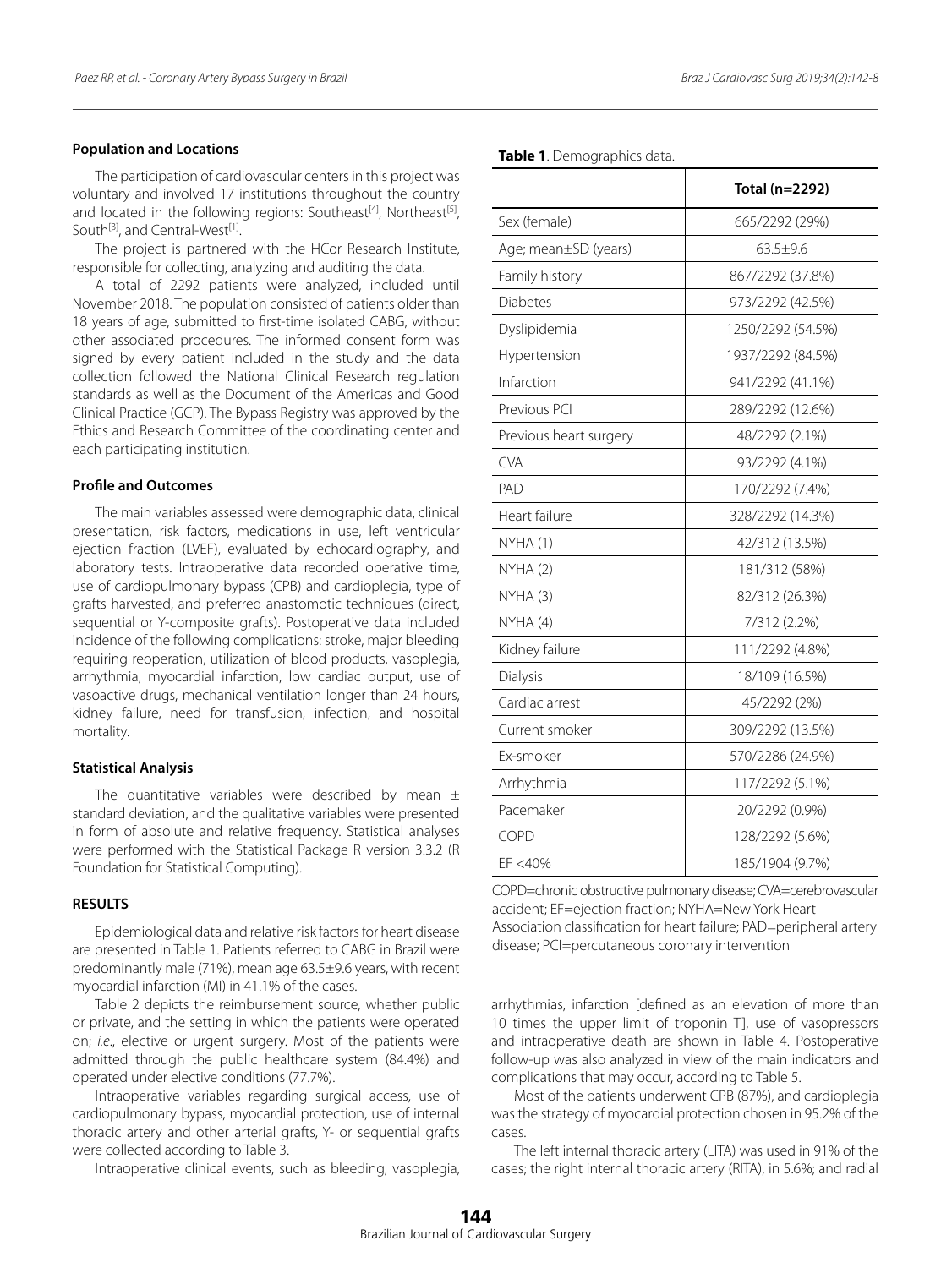## **Population and Locations**

The participation of cardiovascular centers in this project was voluntary and involved 17 institutions throughout the country and located in the following regions: Southeast<sup>[4]</sup>, Northeast<sup>[5]</sup>, South<sup>[3]</sup>, and Central-West<sup>[1]</sup>.

The project is partnered with the HCor Research Institute, responsible for collecting, analyzing and auditing the data.

A total of 2292 patients were analyzed, included until November 2018. The population consisted of patients older than 18 years of age, submitted to first-time isolated CABG, without other associated procedures. The informed consent form was signed by every patient included in the study and the data collection followed the National Clinical Research regulation standards as well as the Document of the Americas and Good Clinical Practice (GCP). The Bypass Registry was approved by the Ethics and Research Committee of the coordinating center and each participating institution.

# **Profile and Outcomes**

The main variables assessed were demographic data, clinical presentation, risk factors, medications in use, left ventricular ejection fraction (LVEF), evaluated by echocardiography, and laboratory tests. Intraoperative data recorded operative time, use of cardiopulmonary bypass (CPB) and cardioplegia, type of grafts harvested, and preferred anastomotic techniques (direct, sequential or Y-composite grafts). Postoperative data included incidence of the following complications: stroke, major bleeding requiring reoperation, utilization of blood products, vasoplegia, arrhythmia, myocardial infarction, low cardiac output, use of vasoactive drugs, mechanical ventilation longer than 24 hours, kidney failure, need for transfusion, infection, and hospital mortality.

#### **Statistical Analysis**

The quantitative variables were described by mean  $\pm$ standard deviation, and the qualitative variables were presented in form of absolute and relative frequency. Statistical analyses were performed with the Statistical Package R version 3.3.2 (R Foundation for Statistical Computing).

## **RESULTS**

Epidemiological data and relative risk factors for heart disease are presented in Table 1. Patients referred to CABG in Brazil were predominantly male (71%), mean age 63.5±9.6 years, with recent myocardial infarction (MI) in 41.1% of the cases.

Table 2 depicts the reimbursement source, whether public or private, and the setting in which the patients were operated on; *i.e*., elective or urgent surgery. Most of the patients were admitted through the public healthcare system (84.4%) and operated under elective conditions (77.7%).

Intraoperative variables regarding surgical access, use of cardiopulmonary bypass, myocardial protection, use of internal thoracic artery and other arterial grafts, Y- or sequential grafts were collected according to Table 3.

Intraoperative clinical events, such as bleeding, vasoplegia,

## **Table 1**. Demographics data.

|                        | Total (n=2292)    |
|------------------------|-------------------|
| Sex (female)           | 665/2292 (29%)    |
| Age; mean±SD (years)   | $63.5 + 9.6$      |
| Family history         | 867/2292 (37.8%)  |
| <b>Diabetes</b>        | 973/2292 (42.5%)  |
| Dyslipidemia           | 1250/2292 (54.5%) |
| Hypertension           | 1937/2292 (84.5%) |
| Infarction             | 941/2292 (41.1%)  |
| Previous PCI           | 289/2292 (12.6%)  |
| Previous heart surgery | 48/2292 (2.1%)    |
| <b>CVA</b>             | 93/2292 (4.1%)    |
| PAD                    | 170/2292 (7.4%)   |
| Heart failure          | 328/2292 (14.3%)  |
| NYHA(1)                | 42/312 (13.5%)    |
| NYHA(2)                | 181/312 (58%)     |
| NYHA (3)               | 82/312 (26.3%)    |
| NYHA (4)               | 7/312 (2.2%)      |
| Kidney failure         | 111/2292 (4.8%)   |
| Dialysis               | 18/109 (16.5%)    |
| Cardiac arrest         | 45/2292 (2%)      |
| Current smoker         | 309/2292 (13.5%)  |
| Ex-smoker              | 570/2286 (24.9%)  |
| Arrhythmia             | 117/2292 (5.1%)   |
| Pacemaker              | 20/2292 (0.9%)    |
| COPD                   | 128/2292 (5.6%)   |
| EF <40%                | 185/1904 (9.7%)   |

COPD=chronic obstructive pulmonary disease; CVA=cerebrovascular accident; EF=ejection fraction; NYHA=New York Heart Association classification for heart failure; PAD=peripheral artery disease; PCI=percutaneous coronary intervention

arrhythmias, infarction [defined as an elevation of more than 10 times the upper limit of troponin T], use of vasopressors and intraoperative death are shown in Table 4. Postoperative follow-up was also analyzed in view of the main indicators and complications that may occur, according to Table 5.

Most of the patients underwent CPB (87%), and cardioplegia was the strategy of myocardial protection chosen in 95.2% of the cases.

The left internal thoracic artery (LITA) was used in 91% of the cases; the right internal thoracic artery (RITA), in 5.6%; and radial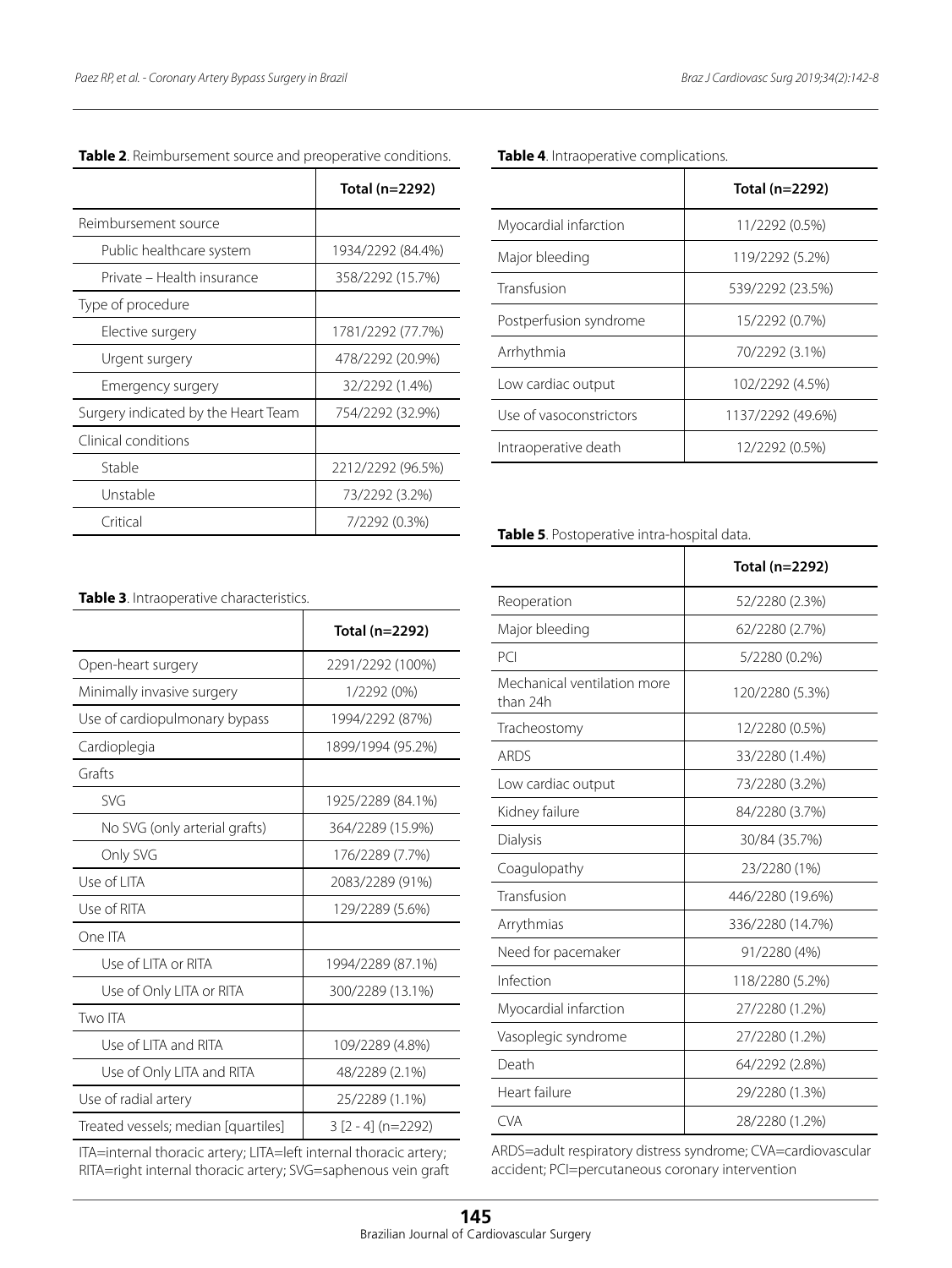|                                     | Total (n=2292)    |
|-------------------------------------|-------------------|
| Reimbursement source                |                   |
| Public healthcare system            | 1934/2292 (84.4%) |
| Private – Health insurance          | 358/2292 (15.7%)  |
| Type of procedure                   |                   |
| Elective surgery                    | 1781/2292 (77.7%) |
| Urgent surgery                      | 478/2292 (20.9%)  |
| Emergency surgery                   | 32/2292 (1.4%)    |
| Surgery indicated by the Heart Team | 754/2292 (32.9%)  |
| Clinical conditions                 |                   |
| Stable                              | 2212/2292 (96.5%) |
| Unstable                            | 73/2292 (3.2%)    |
| Critical                            | 7/2292 (0.3%)     |

| Table 2. Reimbursement source and preoperative conditions. |  |
|------------------------------------------------------------|--|
|------------------------------------------------------------|--|

**Table 4**. Intraoperative complications.

|                         | Total (n=2292)    |
|-------------------------|-------------------|
| Myocardial infarction   | 11/2292 (0.5%)    |
| Major bleeding          | 119/2292 (5.2%)   |
| Transfusion             | 539/2292 (23.5%)  |
| Postperfusion syndrome  | 15/2292 (0.7%)    |
| Arrhythmia              | 70/2292 (3.1%)    |
| Low cardiac output      | 102/2292 (4.5%)   |
| Use of vasoconstrictors | 1137/2292 (49.6%) |
| Intraoperative death    | 12/2292 (0.5%)    |

**Table 5**. Postoperative intra-hospital data.

|                                         | Total (n=2292)   |
|-----------------------------------------|------------------|
| Reoperation                             | 52/2280 (2.3%)   |
| Major bleeding                          | 62/2280 (2.7%)   |
| PC <sub>1</sub>                         | 5/2280 (0.2%)    |
| Mechanical ventilation more<br>than 24h | 120/2280 (5.3%)  |
| Tracheostomy                            | 12/2280 (0.5%)   |
| <b>ARDS</b>                             | 33/2280 (1.4%)   |
| Low cardiac output                      | 73/2280 (3.2%)   |
| Kidney failure                          | 84/2280 (3.7%)   |
| Dialysis                                | 30/84 (35.7%)    |
| Coagulopathy                            | 23/2280 (1%)     |
| Transfusion                             | 446/2280 (19.6%) |
| Arrythmias                              | 336/2280 (14.7%) |
| Need for pacemaker                      | 91/2280 (4%)     |
| Infection                               | 118/2280 (5.2%)  |
| Myocardial infarction                   | 27/2280 (1.2%)   |
| Vasoplegic syndrome                     | 27/2280 (1.2%)   |
| Death                                   | 64/2292 (2.8%)   |
| Heart failure                           | 29/2280 (1.3%)   |
| <b>CVA</b>                              | 28/2280 (1.2%)   |

ARDS=adult respiratory distress syndrome; CVA=cardiovascular accident; PCI=percutaneous coronary intervention

| Table 3. Intraoperative characteristics. |  |
|------------------------------------------|--|
|------------------------------------------|--|

|                                     | Total (n=2292)       |
|-------------------------------------|----------------------|
| Open-heart surgery                  | 2291/2292 (100%)     |
| Minimally invasive surgery          | 1/2292 (0%)          |
| Use of cardiopulmonary bypass       | 1994/2292 (87%)      |
| Cardioplegia                        | 1899/1994 (95.2%)    |
| Grafts                              |                      |
| <b>SVG</b>                          | 1925/2289 (84.1%)    |
| No SVG (only arterial grafts)       | 364/2289 (15.9%)     |
| Only SVG                            | 176/2289 (7.7%)      |
| Use of LITA                         | 2083/2289 (91%)      |
| Use of RITA                         | 129/2289 (5.6%)      |
| One ITA                             |                      |
| Use of LITA or RITA                 | 1994/2289 (87.1%)    |
| Use of Only LITA or RITA            | 300/2289 (13.1%)     |
| Two ITA                             |                      |
| Use of LITA and RITA                | 109/2289 (4.8%)      |
| Use of Only LITA and RITA           | 48/2289 (2.1%)       |
| Use of radial artery                | 25/2289 (1.1%)       |
| Treated vessels; median [quartiles] | $3$ [2 - 4] (n=2292) |

ITA=internal thoracic artery; LITA=left internal thoracic artery; RITA=right internal thoracic artery; SVG=saphenous vein graft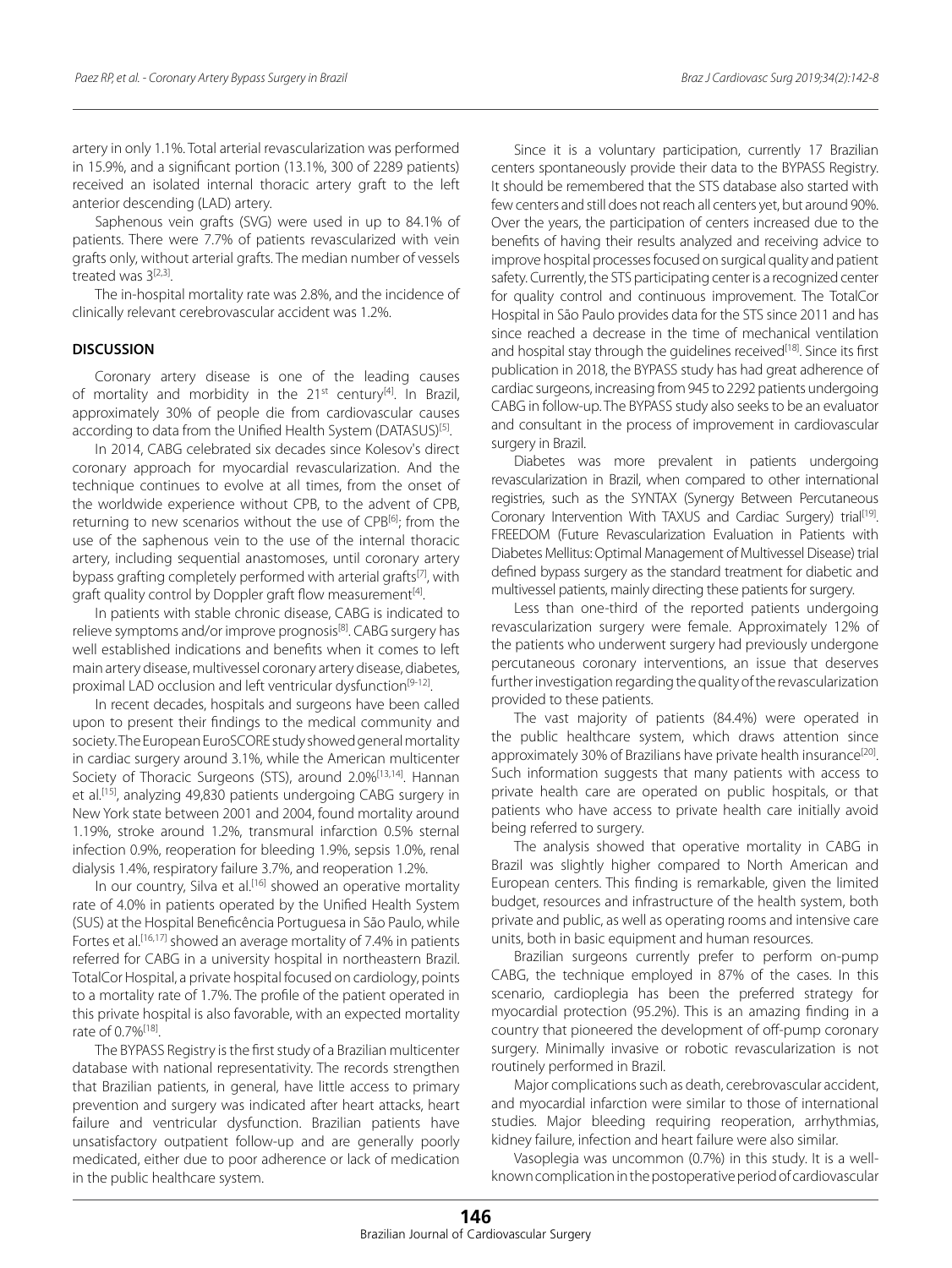artery in only 1.1%. Total arterial revascularization was performed in 15.9%, and a significant portion (13.1%, 300 of 2289 patients) received an isolated internal thoracic artery graft to the left anterior descending (LAD) artery.

Saphenous vein grafts (SVG) were used in up to 84.1% of patients. There were 7.7% of patients revascularized with vein grafts only, without arterial grafts. The median number of vessels treated was 3<sup>[2,3]</sup>.

The in-hospital mortality rate was 2.8%, and the incidence of clinically relevant cerebrovascular accident was 1.2%.

## **DISCUSSION**

Coronary artery disease is one of the leading causes of mortality and morbidity in the 21<sup>st</sup> century<sup>[4]</sup>. In Brazil, approximately 30% of people die from cardiovascular causes according to data from the Unified Health System (DATASUS)<sup>[5]</sup>.

In 2014, CABG celebrated six decades since Kolesov's direct coronary approach for myocardial revascularization. And the technique continues to evolve at all times, from the onset of the worldwide experience without CPB, to the advent of CPB, returning to new scenarios without the use of CPB<sup>[6]</sup>; from the use of the saphenous vein to the use of the internal thoracic artery, including sequential anastomoses, until coronary artery bypass grafting completely performed with arterial grafts<sup>[7]</sup>, with graft quality control by Doppler graft flow measurement<sup>[4]</sup>.

In patients with stable chronic disease, CABG is indicated to relieve symptoms and/or improve prognosis<sup>[8]</sup>. CABG surgery has well established indications and benefits when it comes to left main artery disease, multivessel coronary artery disease, diabetes, proximal LAD occlusion and left ventricular dysfunction<sup>[9-12]</sup>.

In recent decades, hospitals and surgeons have been called upon to present their findings to the medical community and society. The European EuroSCORE study showed general mortality in cardiac surgery around 3.1%, while the American multicenter Society of Thoracic Surgeons (STS), around 2.0%<sup>[13,14]</sup>. Hannan et al.[15], analyzing 49,830 patients undergoing CABG surgery in New York state between 2001 and 2004, found mortality around 1.19%, stroke around 1.2%, transmural infarction 0.5% sternal infection 0.9%, reoperation for bleeding 1.9%, sepsis 1.0%, renal dialysis 1.4%, respiratory failure 3.7%, and reoperation 1.2%.

In our country, Silva et al.<sup>[16]</sup> showed an operative mortality rate of 4.0% in patients operated by the Unified Health System (SUS) at the Hospital Beneficência Portuguesa in São Paulo, while Fortes et al.<sup>[16,17]</sup> showed an average mortality of 7.4% in patients referred for CABG in a university hospital in northeastern Brazil. TotalCor Hospital, a private hospital focused on cardiology, points to a mortality rate of 1.7%. The profile of the patient operated in this private hospital is also favorable, with an expected mortality rate of 0.7%[18].

The BYPASS Registry is the first study of a Brazilian multicenter database with national representativity. The records strengthen that Brazilian patients, in general, have little access to primary prevention and surgery was indicated after heart attacks, heart failure and ventricular dysfunction. Brazilian patients have unsatisfactory outpatient follow-up and are generally poorly medicated, either due to poor adherence or lack of medication in the public healthcare system.

Since it is a voluntary participation, currently 17 Brazilian centers spontaneously provide their data to the BYPASS Registry. It should be remembered that the STS database also started with few centers and still does not reach all centers yet, but around 90%. Over the years, the participation of centers increased due to the benefits of having their results analyzed and receiving advice to improve hospital processes focused on surgical quality and patient safety. Currently, the STS participating center is a recognized center for quality control and continuous improvement. The TotalCor Hospital in São Paulo provides data for the STS since 2011 and has since reached a decrease in the time of mechanical ventilation and hospital stay through the guidelines received<sup>[18]</sup>. Since its first publication in 2018, the BYPASS study has had great adherence of cardiac surgeons, increasing from 945 to 2292 patients undergoing CABG in follow-up. The BYPASS study also seeks to be an evaluator and consultant in the process of improvement in cardiovascular surgery in Brazil.

Diabetes was more prevalent in patients undergoing revascularization in Brazil, when compared to other international registries, such as the SYNTAX (Synergy Between Percutaneous Coronary Intervention With TAXUS and Cardiac Surgery) trial<sup>[19]</sup>. FREEDOM (Future Revascularization Evaluation in Patients with Diabetes Mellitus: Optimal Management of Multivessel Disease) trial defined bypass surgery as the standard treatment for diabetic and multivessel patients, mainly directing these patients for surgery.

Less than one-third of the reported patients undergoing revascularization surgery were female. Approximately 12% of the patients who underwent surgery had previously undergone percutaneous coronary interventions, an issue that deserves further investigation regarding the quality of the revascularization provided to these patients.

The vast majority of patients (84.4%) were operated in the public healthcare system, which draws attention since approximately 30% of Brazilians have private health insurance<sup>[20]</sup>. Such information suggests that many patients with access to private health care are operated on public hospitals, or that patients who have access to private health care initially avoid being referred to surgery.

The analysis showed that operative mortality in CABG in Brazil was slightly higher compared to North American and European centers. This finding is remarkable, given the limited budget, resources and infrastructure of the health system, both private and public, as well as operating rooms and intensive care units, both in basic equipment and human resources.

Brazilian surgeons currently prefer to perform on-pump CABG, the technique employed in 87% of the cases. In this scenario, cardioplegia has been the preferred strategy for myocardial protection (95.2%). This is an amazing finding in a country that pioneered the development of off-pump coronary surgery. Minimally invasive or robotic revascularization is not routinely performed in Brazil.

Major complications such as death, cerebrovascular accident, and myocardial infarction were similar to those of international studies. Major bleeding requiring reoperation, arrhythmias, kidney failure, infection and heart failure were also similar.

Vasoplegia was uncommon (0.7%) in this study. It is a wellknown complication in the postoperative period of cardiovascular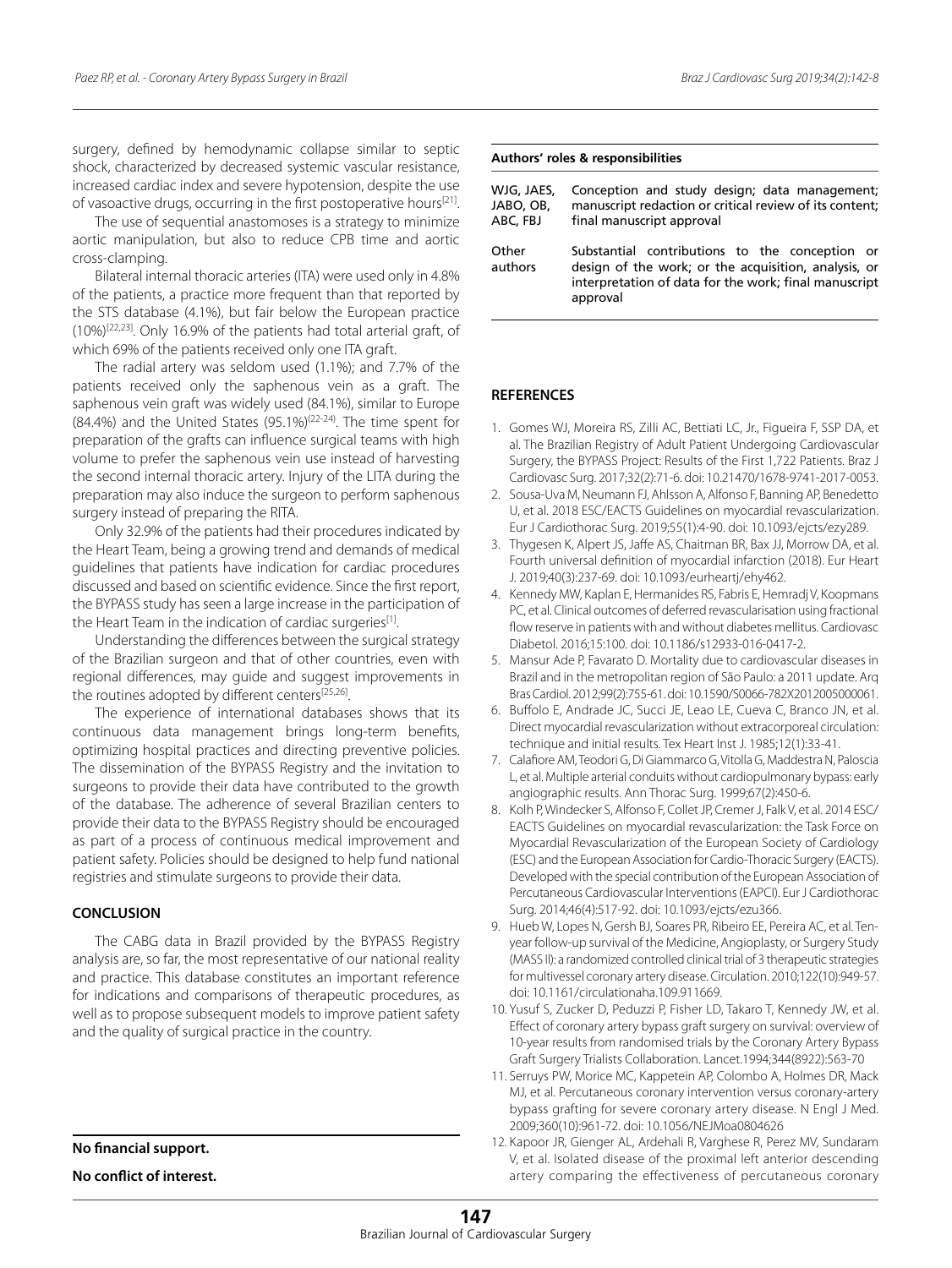surgery, defined by hemodynamic collapse similar to septic shock, characterized by decreased systemic vascular resistance, increased cardiac index and severe hypotension, despite the use of vasoactive drugs, occurring in the first postoperative hours[21].

The use of sequential anastomoses is a strategy to minimize aortic manipulation, but also to reduce CPB time and aortic cross-clamping.

Bilateral internal thoracic arteries (ITA) were used only in 4.8% of the patients, a practice more frequent than that reported by the STS database (4.1%), but fair below the European practice (10%)[22,23]. Only 16.9% of the patients had total arterial graft, of which 69% of the patients received only one ITA graft.

The radial artery was seldom used (1.1%); and 7.7% of the patients received only the saphenous vein as a graft. The saphenous vein graft was widely used (84.1%), similar to Europe (84.4%) and the United States (95.1%)(22-24). The time spent for preparation of the grafts can influence surgical teams with high volume to prefer the saphenous vein use instead of harvesting the second internal thoracic artery. Injury of the LITA during the preparation may also induce the surgeon to perform saphenous surgery instead of preparing the RITA.

Only 32.9% of the patients had their procedures indicated by the Heart Team, being a growing trend and demands of medical guidelines that patients have indication for cardiac procedures discussed and based on scientific evidence. Since the first report, the BYPASS study has seen a large increase in the participation of the Heart Team in the indication of cardiac surgeries<sup>[1]</sup>.

Understanding the differences between the surgical strategy of the Brazilian surgeon and that of other countries, even with regional differences, may guide and suggest improvements in the routines adopted by different centers[25,26].

The experience of international databases shows that its continuous data management brings long-term benefits, optimizing hospital practices and directing preventive policies. The dissemination of the BYPASS Registry and the invitation to surgeons to provide their data have contributed to the growth of the database. The adherence of several Brazilian centers to provide their data to the BYPASS Registry should be encouraged as part of a process of continuous medical improvement and patient safety. Policies should be designed to help fund national registries and stimulate surgeons to provide their data.

# **CONCLUSION**

The CABG data in Brazil provided by the BYPASS Registry analysis are, so far, the most representative of our national reality and practice. This database constitutes an important reference for indications and comparisons of therapeutic procedures, as well as to propose subsequent models to improve patient safety and the quality of surgical practice in the country.

**No financial support.**

**No conflict of interest.**

#### **Authors' roles & responsibilities**

| WJG, JAES,       | Conception and study design; data management;                                                                                                                               |
|------------------|-----------------------------------------------------------------------------------------------------------------------------------------------------------------------------|
| JABO, OB,        | manuscript redaction or critical review of its content;                                                                                                                     |
| ABC, FBJ         | final manuscript approval                                                                                                                                                   |
| Other<br>authors | Substantial contributions to the conception or<br>design of the work; or the acquisition, analysis, or<br>interpretation of data for the work; final manuscript<br>approval |

# **REFERENCES**

- 1. Gomes WJ, Moreira RS, Zilli AC, Bettiati LC, Jr., Figueira F, SSP DA, et al. The Brazilian Registry of Adult Patient Undergoing Cardiovascular Surgery, the BYPASS Project: Results of the First 1,722 Patients. Braz J Cardiovasc Surg. 2017;32(2):71-6. doi: 10.21470/1678-9741-2017-0053.
- 2. Sousa-Uva M, Neumann FJ, Ahlsson A, Alfonso F, Banning AP, Benedetto U, et al. 2018 ESC/EACTS Guidelines on myocardial revascularization. Eur J Cardiothorac Surg. 2019;55(1):4-90. doi: 10.1093/ejcts/ezy289.
- 3. Thygesen K, Alpert JS, Jaffe AS, Chaitman BR, Bax JJ, Morrow DA, et al. Fourth universal definition of myocardial infarction (2018). Eur Heart J. 2019;40(3):237-69. doi: 10.1093/eurheartj/ehy462.
- 4. Kennedy MW, Kaplan E, Hermanides RS, Fabris E, Hemradj V, Koopmans PC, et al. Clinical outcomes of deferred revascularisation using fractional flow reserve in patients with and without diabetes mellitus. Cardiovasc Diabetol. 2016;15:100. doi: 10.1186/s12933-016-0417-2.
- 5. Mansur Ade P, Favarato D. Mortality due to cardiovascular diseases in Brazil and in the metropolitan region of São Paulo: a 2011 update. Arq Bras Cardiol. 2012;99(2):755-61. doi: 10.1590/S0066-782X2012005000061.
- 6. Buffolo E, Andrade JC, Succi JE, Leao LE, Cueva C, Branco JN, et al. Direct myocardial revascularization without extracorporeal circulation: technique and initial results. Tex Heart Inst J. 1985;12(1):33-41.
- 7. Calafiore AM, Teodori G, Di Giammarco G, Vitolla G, Maddestra N, Paloscia L, et al. Multiple arterial conduits without cardiopulmonary bypass: early angiographic results. Ann Thorac Surg. 1999;67(2):450-6.
- 8. Kolh P, Windecker S, Alfonso F, Collet JP, Cremer J, Falk V, et al. 2014 ESC/ EACTS Guidelines on myocardial revascularization: the Task Force on Myocardial Revascularization of the European Society of Cardiology (ESC) and the European Association for Cardio-Thoracic Surgery (EACTS). Developed with the special contribution of the European Association of Percutaneous Cardiovascular Interventions (EAPCI). Eur J Cardiothorac Surg. 2014;46(4):517-92. doi: 10.1093/ejcts/ezu366.
- 9. Hueb W, Lopes N, Gersh BJ, Soares PR, Ribeiro EE, Pereira AC, et al. Tenyear follow-up survival of the Medicine, Angioplasty, or Surgery Study (MASS II): a randomized controlled clinical trial of 3 therapeutic strategies for multivessel coronary artery disease. Circulation. 2010;122(10):949-57. doi: 10.1161/circulationaha.109.911669.
- 10. Yusuf S, Zucker D, Peduzzi P, Fisher LD, Takaro T, Kennedy JW, et al. Effect of coronary artery bypass graft surgery on survival: overview of 10-year results from randomised trials by the Coronary Artery Bypass Graft Surgery Trialists Collaboration. Lancet.1994;344(8922):563-70
- 11. Serruys PW, Morice MC, Kappetein AP, Colombo A, Holmes DR, Mack MJ, et al. Percutaneous coronary intervention versus coronary-artery bypass grafting for severe coronary artery disease. N Engl J Med. 2009;360(10):961-72. doi: 10.1056/NEJMoa0804626
- 12. Kapoor JR, Gienger AL, Ardehali R, Varghese R, Perez MV, Sundaram V, et al. Isolated disease of the proximal left anterior descending artery comparing the effectiveness of percutaneous coronary